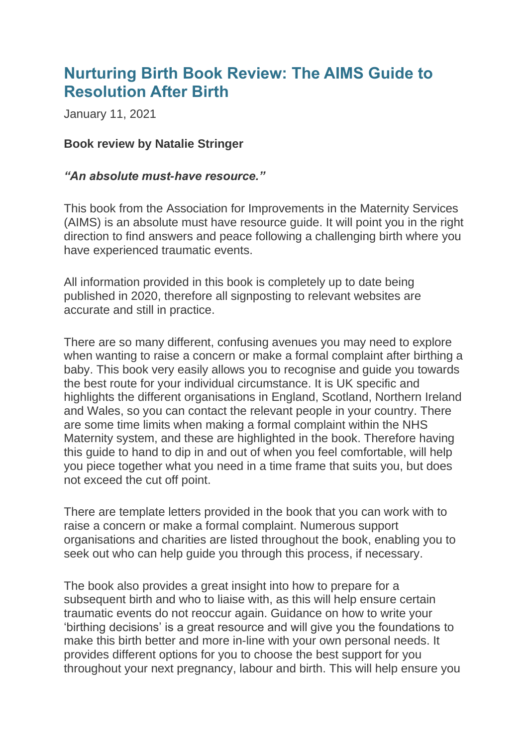## **Nurturing Birth Book Review: The AIMS Guide to Resolution After Birth**

January 11, 2021

## **Book review by Natalie Stringer**

## *"An absolute must-have resource."*

This book from the Association for Improvements in the Maternity Services (AIMS) is an absolute must have resource guide. It will point you in the right direction to find answers and peace following a challenging birth where you have experienced traumatic events.

All information provided in this book is completely up to date being published in 2020, therefore all signposting to relevant websites are accurate and still in practice.

There are so many different, confusing avenues you may need to explore when wanting to raise a concern or make a formal complaint after birthing a baby. This book very easily allows you to recognise and guide you towards the best route for your individual circumstance. It is UK specific and highlights the different organisations in England, Scotland, Northern Ireland and Wales, so you can contact the relevant people in your country. There are some time limits when making a formal complaint within the NHS Maternity system, and these are highlighted in the book. Therefore having this guide to hand to dip in and out of when you feel comfortable, will help you piece together what you need in a time frame that suits you, but does not exceed the cut off point.

There are template letters provided in the book that you can work with to raise a concern or make a formal complaint. Numerous support organisations and charities are listed throughout the book, enabling you to seek out who can help guide you through this process, if necessary.

The book also provides a great insight into how to prepare for a subsequent birth and who to liaise with, as this will help ensure certain traumatic events do not reoccur again. Guidance on how to write your 'birthing decisions' is a great resource and will give you the foundations to make this birth better and more in-line with your own personal needs. It provides different options for you to choose the best support for you throughout your next pregnancy, labour and birth. This will help ensure you